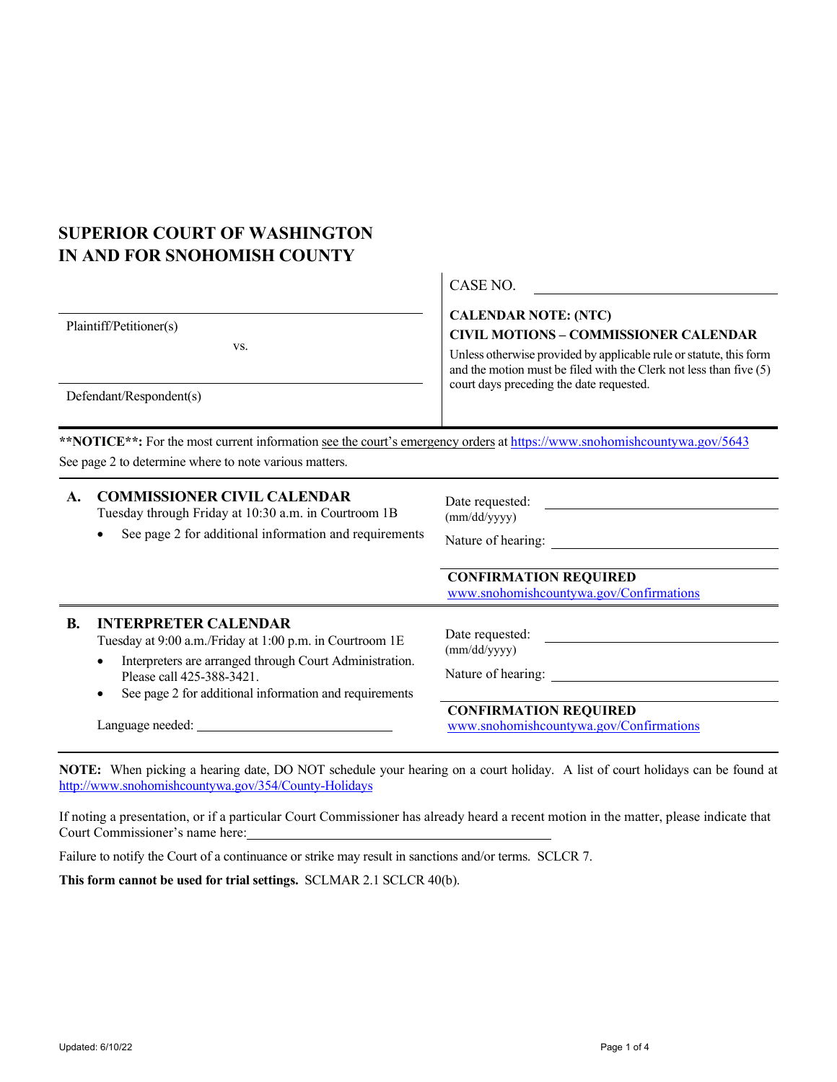# **SUPERIOR COURT OF WASHINGTON IN AND FOR SNOHOMISH COUNTY**

|                                                           | CASE NO.                                                                                                                                                                                                                                                              |
|-----------------------------------------------------------|-----------------------------------------------------------------------------------------------------------------------------------------------------------------------------------------------------------------------------------------------------------------------|
| Plaintiff/Petitioner(s)<br>VS.<br>Defendant/Respondent(s) | <b>CALENDAR NOTE: (NTC)</b><br><b>CIVIL MOTIONS - COMMISSIONER CALENDAR</b><br>Unless otherwise provided by applicable rule or statute, this form<br>and the motion must be filed with the Clerk not less than five $(5)$<br>court days preceding the date requested. |
|                                                           |                                                                                                                                                                                                                                                                       |

\*\***NOTICE**\*\*: For the most current information see the court's emergency orders at <https://www.snohomishcountywa.gov/5643> See page 2 to determine where to note various matters.

#### **A. COMMISSIONER CIVIL CALENDAR**

Tuesday through Friday at 10:30 a.m. in Courtroom 1B

• See page 2 for additional information and requirements

Date requested: (mm/dd/yyyy)

 $\sqrt{\mathcal{L}^{\text{C}}$ 

Nature of hearing: \_\_\_\_\_\_\_

**CONFIRMATION REQUIRED**  [www.snohomishcountywa.gov/Confirmations](http://www.snohomishcountywa.gov/Confirmations)

### **B. INTERPRETER CALENDAR**

Tuesday at 9:00 a.m./Friday at 1:00 p.m. in Courtroom 1E

- Interpreters are arranged through Court Administration. Please call 425-388-3421.
- See page 2 for additional information and requirements

Language needed:

Date requested: (mm/dd/yyyy)

Nature of hearing:

**CONFIRMATION REQUIRED**  [www.snohomishcountywa.gov/Confirmations](http://www.snohomishcountywa.gov/Confirmations)

**NOTE:** When picking a hearing date, DO NOT schedule your hearing on a court holiday. A list of court holidays can be found at <http://www.snohomishcountywa.gov/354/County-Holidays>

If noting a presentation, or if a particular Court Commissioner has already heard a recent motion in the matter, please indicate that Court Commissioner's name here:

Failure to notify the Court of a continuance or strike may result in sanctions and/or terms. SCLCR 7.

**This form cannot be used for trial settings.** SCLMAR 2.1 SCLCR 40(b).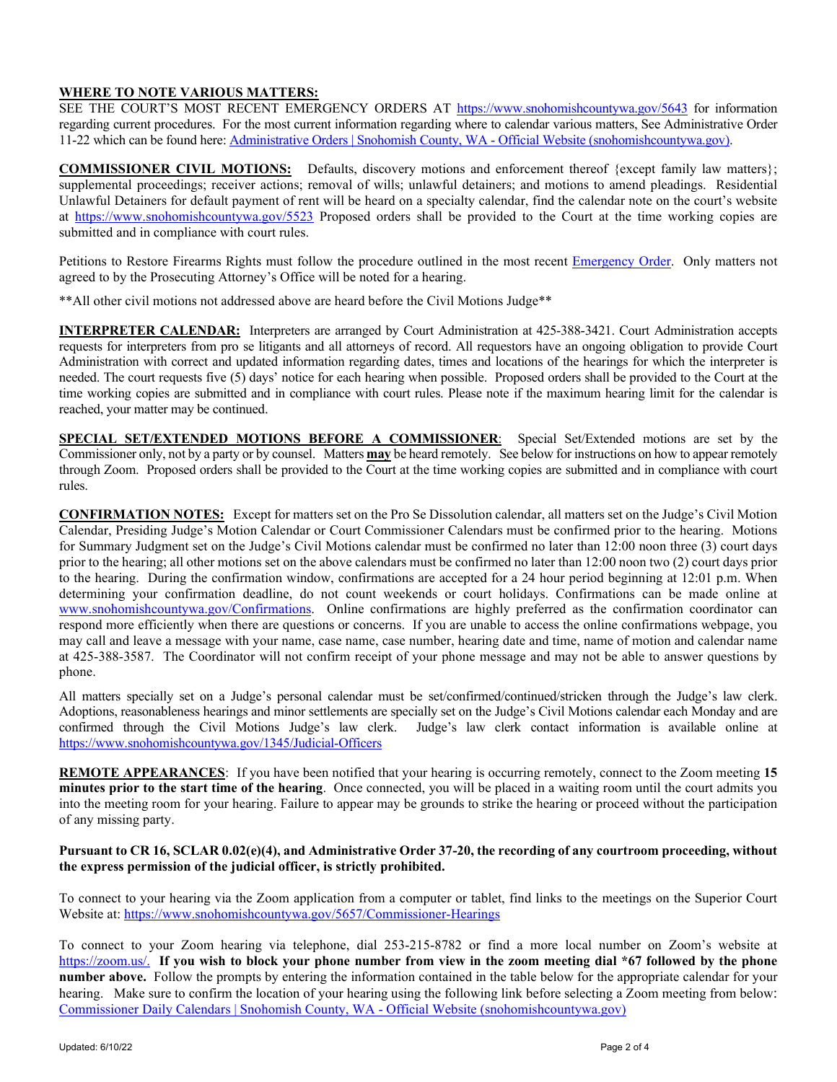## **WHERE TO NOTE VARIOUS MATTERS:**

SEE THE COURT'S MOST RECENT EMERGENCY ORDERS AT<https://www.snohomishcountywa.gov/5643> for information regarding current procedures. For the most current information regarding where to calendar various matters, See Administrative Order 11-22 which can be found here: [Administrative Orders | Snohomish County, WA -](https://www.snohomishcountywa.gov/1354/Administrative-Orders) Official Website (snohomishcountywa.gov).

**COMMISSIONER CIVIL MOTIONS:** Defaults, discovery motions and enforcement thereof {except family law matters}; supplemental proceedings; receiver actions; removal of wills; unlawful detainers; and motions to amend pleadings. Residential Unlawful Detainers for default payment of rent will be heard on a specialty calendar, find the calendar note on the court's website at <https://www.snohomishcountywa.gov/5523> Proposed orders shall be provided to the Court at the time working copies are submitted and in compliance with court rules.

Petitions to Restore Firearms Rights must follow the procedure outlined in the most recent [Emergency Order.](https://www.snohomishcountywa.gov/5643/Emergency-Orders) Only matters not agreed to by the Prosecuting Attorney's Office will be noted for a hearing.

\*\*All other civil motions not addressed above are heard before the Civil Motions Judge\*\*

**INTERPRETER CALENDAR:** Interpreters are arranged by Court Administration at 425-388-3421. Court Administration accepts requests for interpreters from pro se litigants and all attorneys of record. All requestors have an ongoing obligation to provide Court Administration with correct and updated information regarding dates, times and locations of the hearings for which the interpreter is needed. The court requests five (5) days' notice for each hearing when possible. Proposed orders shall be provided to the Court at the time working copies are submitted and in compliance with court rules. Please note if the maximum hearing limit for the calendar is reached, your matter may be continued.

**SPECIAL SET/EXTENDED MOTIONS BEFORE A COMMISSIONER**: Special Set/Extended motions are set by the Commissioner only, not by a party or by counsel. Matters **may** be heard remotely. See below for instructions on how to appear remotely through Zoom. Proposed orders shall be provided to the Court at the time working copies are submitted and in compliance with court rules.

**CONFIRMATION NOTES:** Except for matters set on the Pro Se Dissolution calendar, all matters set on the Judge's Civil Motion Calendar, Presiding Judge's Motion Calendar or Court Commissioner Calendars must be confirmed prior to the hearing. Motions for Summary Judgment set on the Judge's Civil Motions calendar must be confirmed no later than 12:00 noon three (3) court days prior to the hearing; all other motions set on the above calendars must be confirmed no later than 12:00 noon two (2) court days prior to the hearing. During the confirmation window, confirmations are accepted for a 24 hour period beginning at 12:01 p.m. When determining your confirmation deadline, do not count weekends or court holidays. Confirmations can be made online at [www.snohomishcountywa.gov/Confirmations.](http://www.snohomishcountywa.gov/Confirmations) Online confirmations are highly preferred as the confirmation coordinator can respond more efficiently when there are questions or concerns. If you are unable to access the online confirmations webpage, you may call and leave a message with your name, case name, case number, hearing date and time, name of motion and calendar name at 425-388-3587. The Coordinator will not confirm receipt of your phone message and may not be able to answer questions by phone.

All matters specially set on a Judge's personal calendar must be set/confirmed/continued/stricken through the Judge's law clerk. Adoptions, reasonableness hearings and minor settlements are specially set on the Judge's Civil Motions calendar each Monday and are confirmed through the Civil Motions Judge's law clerk. Judge's law clerk contact information is available online at <https://www.snohomishcountywa.gov/1345/Judicial-Officers>

**REMOTE APPEARANCES**: If you have been notified that your hearing is occurring remotely, connect to the Zoom meeting **15 minutes prior to the start time of the hearing**. Once connected, you will be placed in a waiting room until the court admits you into the meeting room for your hearing. Failure to appear may be grounds to strike the hearing or proceed without the participation of any missing party.

#### **Pursuant to CR 16, SCLAR 0.02(e)(4), and Administrative Order 37-20, the recording of any courtroom proceeding, without the express permission of the judicial officer, is strictly prohibited.**

To connect to your hearing via the Zoom application from a computer or tablet, find links to the meetings on the Superior Court Website at: [https://www.snohomishcountywa.gov/5657/Commissioner-Hearings](https://gcc01.safelinks.protection.outlook.com/?url=https%3A%2F%2Fwww.snohomishcountywa.gov%2F5657%2FCommissioner-Hearings&data=02%7C01%7Cbrittany.romero%40co.snohomish.wa.us%7Ce1e8462a259846b5bbb708d83350e049%7C6bd456aabc074218897c4d0a6a503ee2%7C1%7C0%7C637315769733402105&sdata=5ByRV0V6oe2iUQHzkusDHTnlgXM1%2FmTeF5RuMGDw7xk%3D&reserved=0)

To connect to your Zoom hearing via telephone, dial 253-215-8782 or find a more local number on Zoom's website at [https://zoom.us/.](https://zoom.us/) **If you wish to block your phone number from view in the zoom meeting dial \*67 followed by the phone number above.** Follow the prompts by entering the information contained in the table below for the appropriate calendar for your hearing. Make sure to confirm the location of your hearing using the following link before selecting a Zoom meeting from below: [Commissioner Daily Calendars | Snohomish County, WA -](https://www.snohomishcountywa.gov/5659/Commissioner-Daily-Calendars) Official Website (snohomishcountywa.gov)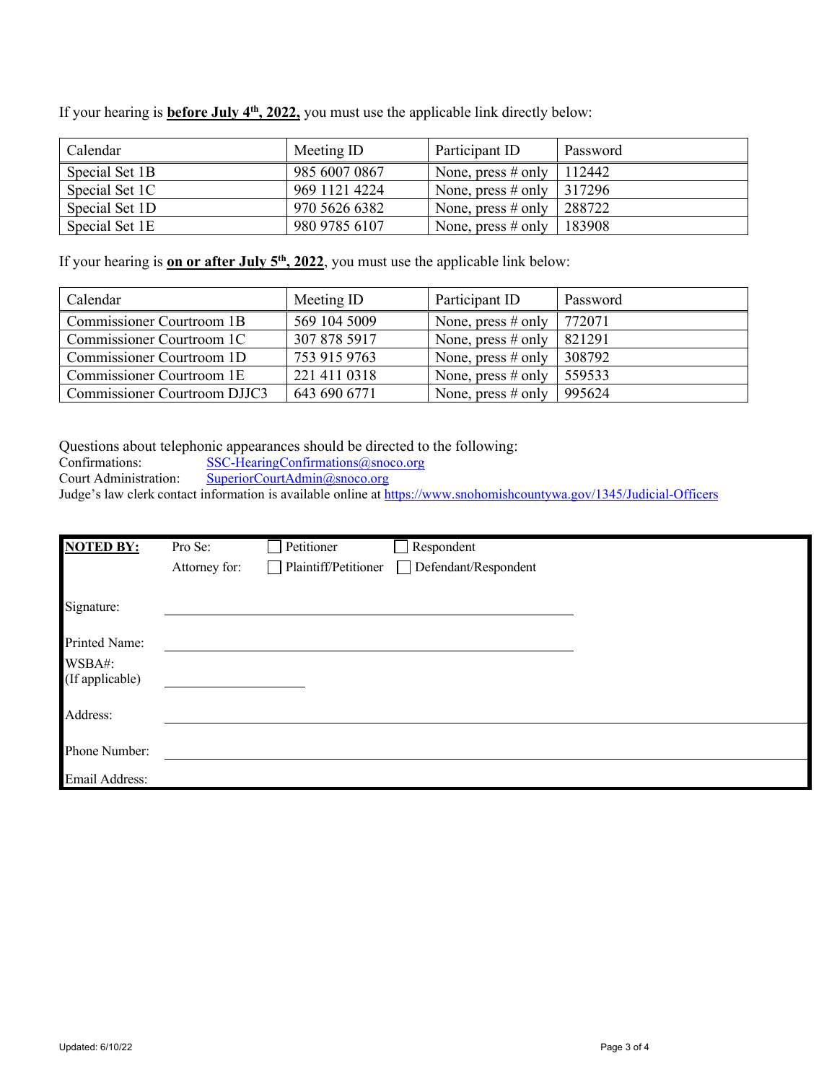If your hearing is **before July 4<sup>th</sup>, 2022**, you must use the applicable link directly below:

| Calendar       | Meeting ID    | Participant ID                | Password |
|----------------|---------------|-------------------------------|----------|
| Special Set 1B | 985 6007 0867 | None, press # only   $112442$ |          |
| Special Set 1C | 969 1121 4224 | None, press # only   $317296$ |          |
| Special Set 1D | 970 5626 6382 | None, press $\#$ only         | 288722   |
| Special Set 1E | 980 9785 6107 | None, press # only $\vert$    | 183908   |

If your hearing is **on or after July 5<sup>th</sup>, 2022**, you must use the applicable link below:

| Calendar                     | Meeting ID   | Participant ID       | Password |
|------------------------------|--------------|----------------------|----------|
| Commissioner Courtroom 1B    | 569 104 5009 | None, press $#$ only | 772071   |
| Commissioner Courtroom 1C    | 307 878 5917 | None, press $#$ only | 821291   |
| Commissioner Courtroom 1D    | 753 915 9763 | None, press $#$ only | 308792   |
| Commissioner Courtroom 1E    | 221 411 0318 | None, press $#$ only | 559533   |
| Commissioner Courtroom DJJC3 | 643 690 6771 | None, press $#$ only | 995624   |

Questions about telephonic appearances should be directed to the following:<br>Confirmations: SSC-HearingConfirmations@snoco.org

Confirmations: [SSC-HearingConfirmations@snoco.org](mailto:SSC-HearingConfirmations@snoco.org)<br>Court Administration: SuperiorCourtAdmin@snoco.org

[SuperiorCourtAdmin@snoco.org](mailto:SuperiorCourtAdmin@snoco.org)

Judge's law clerk contact information is available online at<https://www.snohomishcountywa.gov/1345/Judicial-Officers>

| <b>NOTED BY:</b> | Pro Se:       | Petitioner                  | Respondent           |  |
|------------------|---------------|-----------------------------|----------------------|--|
|                  | Attorney for: | $\Box$ Plaintiff/Petitioner | Defendant/Respondent |  |
|                  |               |                             |                      |  |
| Signature:       |               |                             |                      |  |
| Printed Name:    |               |                             |                      |  |
| WSBA#:           |               |                             |                      |  |
| (If applicable)  |               |                             |                      |  |
| Address:         |               |                             |                      |  |
|                  |               |                             |                      |  |
| Phone Number:    |               |                             |                      |  |
| Email Address:   |               |                             |                      |  |